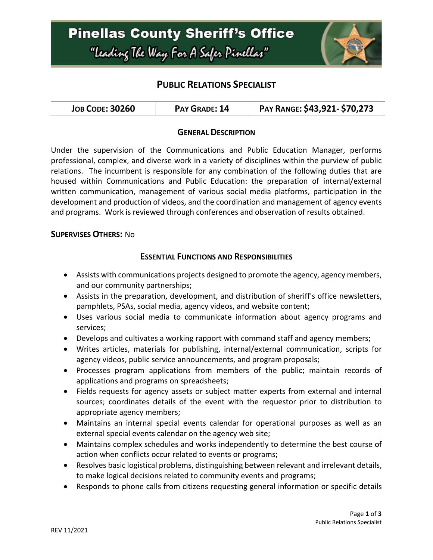

# **PUBLIC RELATIONS SPECIALIST**

| <b>JOB CODE: 30260</b> | PAY GRADE: 14 | PAY RANGE: \$43,921- \$70,273 |
|------------------------|---------------|-------------------------------|
|------------------------|---------------|-------------------------------|

## **GENERAL DESCRIPTION**

Under the supervision of the Communications and Public Education Manager, performs professional, complex, and diverse work in a variety of disciplines within the purview of public relations. The incumbent is responsible for any combination of the following duties that are housed within Communications and Public Education: the preparation of internal/external written communication, management of various social media platforms, participation in the development and production of videos, and the coordination and management of agency events and programs. Work is reviewed through conferences and observation of results obtained.

#### **SUPERVISES OTHERS:** No

## **ESSENTIAL FUNCTIONS AND RESPONSIBILITIES**

- Assists with communications projects designed to promote the agency, agency members, and our community partnerships;
- Assists in the preparation, development, and distribution of sheriff's office newsletters, pamphlets, PSAs, social media, agency videos, and website content;
- Uses various social media to communicate information about agency programs and services;
- Develops and cultivates a working rapport with command staff and agency members;
- Writes articles, materials for publishing, internal/external communication, scripts for agency videos, public service announcements, and program proposals;
- Processes program applications from members of the public; maintain records of applications and programs on spreadsheets;
- Fields requests for agency assets or subject matter experts from external and internal sources; coordinates details of the event with the requestor prior to distribution to appropriate agency members;
- Maintains an internal special events calendar for operational purposes as well as an external special events calendar on the agency web site;
- Maintains complex schedules and works independently to determine the best course of action when conflicts occur related to events or programs;
- Resolves basic logistical problems, distinguishing between relevant and irrelevant details, to make logical decisions related to community events and programs;
- Responds to phone calls from citizens requesting general information or specific details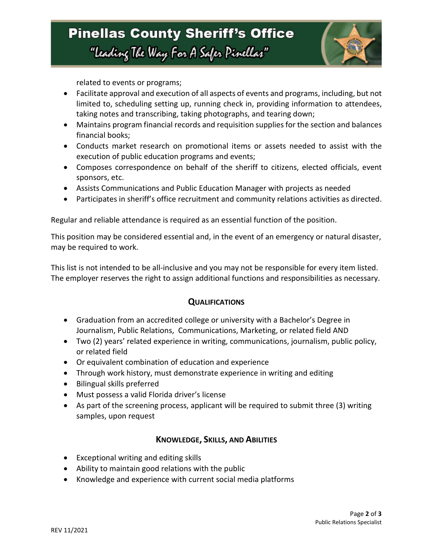

related to events or programs;

- Facilitate approval and execution of all aspects of events and programs, including, but not limited to, scheduling setting up, running check in, providing information to attendees, taking notes and transcribing, taking photographs, and tearing down;
- Maintains program financial records and requisition supplies for the section and balances financial books;
- Conducts market research on promotional items or assets needed to assist with the execution of public education programs and events;
- Composes correspondence on behalf of the sheriff to citizens, elected officials, event sponsors, etc.
- Assists Communications and Public Education Manager with projects as needed
- Participates in sheriff's office recruitment and community relations activities as directed.

Regular and reliable attendance is required as an essential function of the position.

This position may be considered essential and, in the event of an emergency or natural disaster, may be required to work.

This list is not intended to be all-inclusive and you may not be responsible for every item listed. The employer reserves the right to assign additional functions and responsibilities as necessary.

## **QUALIFICATIONS**

- Graduation from an accredited college or university with a Bachelor's Degree in Journalism, Public Relations, Communications, Marketing, or related field AND
- Two (2) years' related experience in writing, communications, journalism, public policy, or related field
- Or equivalent combination of education and experience
- Through work history, must demonstrate experience in writing and editing
- Bilingual skills preferred
- Must possess a valid Florida driver's license
- As part of the screening process, applicant will be required to submit three (3) writing samples, upon request

## **KNOWLEDGE, SKILLS, AND ABILITIES**

- Exceptional writing and editing skills
- Ability to maintain good relations with the public
- Knowledge and experience with current social media platforms